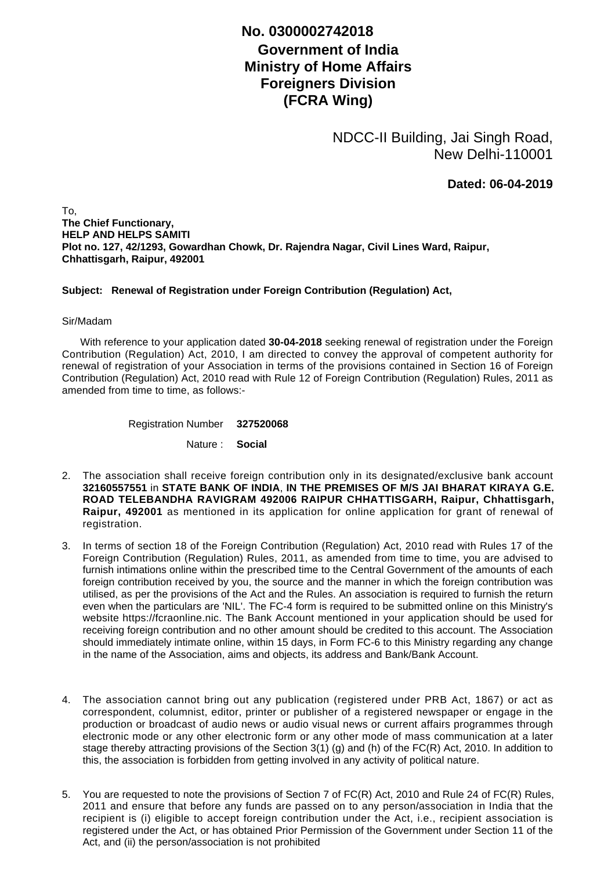## **No. 0300002742018**

## **Government of India Ministry of Home Affairs Foreigners Division (FCRA Wing)**

NDCC-II Building, Jai Singh Road, New Delhi-110001

**Dated: 06-04-2019**

To, **The Chief Functionary, HELP AND HELPS SAMITI Plot no. 127, 42/1293, Gowardhan Chowk, Dr. Rajendra Nagar, Civil Lines Ward, Raipur, Chhattisgarh, Raipur, 492001**

## **Subject: Renewal of Registration under Foreign Contribution (Regulation) Act,**

## Sir/Madam

 With reference to your application dated **30-04-2018** seeking renewal of registration under the Foreign Contribution (Regulation) Act, 2010, I am directed to convey the approval of competent authority for renewal of registration of your Association in terms of the provisions contained in Section 16 of Foreign Contribution (Regulation) Act, 2010 read with Rule 12 of Foreign Contribution (Regulation) Rules, 2011 as amended from time to time, as follows:-

Registration Number **327520068**

Nature : **Social**

- The association shall receive foreign contribution only in its designated/exclusive bank account 2. **32160557551** in **STATE BANK OF INDIA**, **IN THE PREMISES OF M/S JAI BHARAT KIRAYA G.E. ROAD TELEBANDHA RAVIGRAM 492006 RAIPUR CHHATTISGARH, Raipur, Chhattisgarh, Raipur, 492001** as mentioned in its application for online application for grant of renewal of registration.
- 3. In terms of section 18 of the Foreign Contribution (Regulation) Act, 2010 read with Rules 17 of the Foreign Contribution (Regulation) Rules, 2011, as amended from time to time, you are advised to furnish intimations online within the prescribed time to the Central Government of the amounts of each foreign contribution received by you, the source and the manner in which the foreign contribution was utilised, as per the provisions of the Act and the Rules. An association is required to furnish the return even when the particulars are 'NIL'. The FC-4 form is required to be submitted online on this Ministry's website https://fcraonline.nic. The Bank Account mentioned in your application should be used for receiving foreign contribution and no other amount should be credited to this account. The Association should immediately intimate online, within 15 days, in Form FC-6 to this Ministry regarding any change in the name of the Association, aims and objects, its address and Bank/Bank Account.
- 4. The association cannot bring out any publication (registered under PRB Act, 1867) or act as correspondent, columnist, editor, printer or publisher of a registered newspaper or engage in the production or broadcast of audio news or audio visual news or current affairs programmes through electronic mode or any other electronic form or any other mode of mass communication at a later stage thereby attracting provisions of the Section 3(1) (g) and (h) of the FC(R) Act, 2010. In addition to this, the association is forbidden from getting involved in any activity of political nature.
- 5. You are requested to note the provisions of Section 7 of FC(R) Act, 2010 and Rule 24 of FC(R) Rules, 2011 and ensure that before any funds are passed on to any person/association in India that the recipient is (i) eligible to accept foreign contribution under the Act, i.e., recipient association is registered under the Act, or has obtained Prior Permission of the Government under Section 11 of the Act, and (ii) the person/association is not prohibited